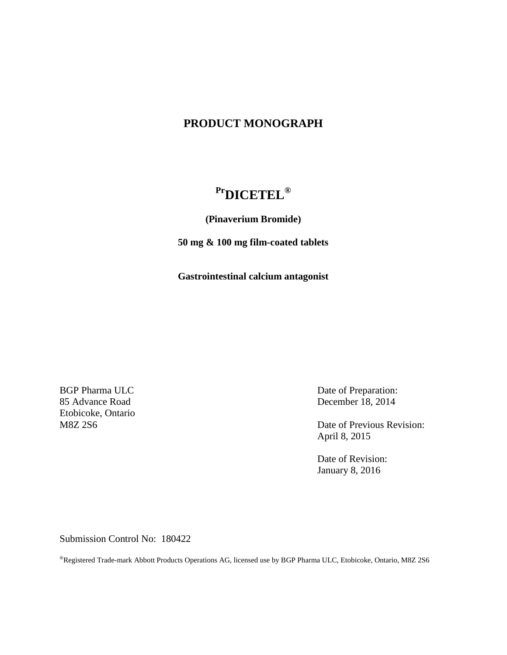# **PRODUCT MONOGRAPH**

# **PrDICETEL®**

**(Pinaverium Bromide)**

**50 mg & 100 mg film-coated tablets**

**Gastrointestinal calcium antagonist**

BGP Pharma ULC 85 Advance Road Etobicoke, Ontario M8Z 2S6

Date of Preparation: December 18, 2014

Date of Previous Revision: April 8, 2015

Date of Revision: January 8, 2016

Submission Control No: 180422

®Registered Trade-mark Abbott Products Operations AG, licensed use by BGP Pharma ULC, Etobicoke, Ontario, M8Z 2S6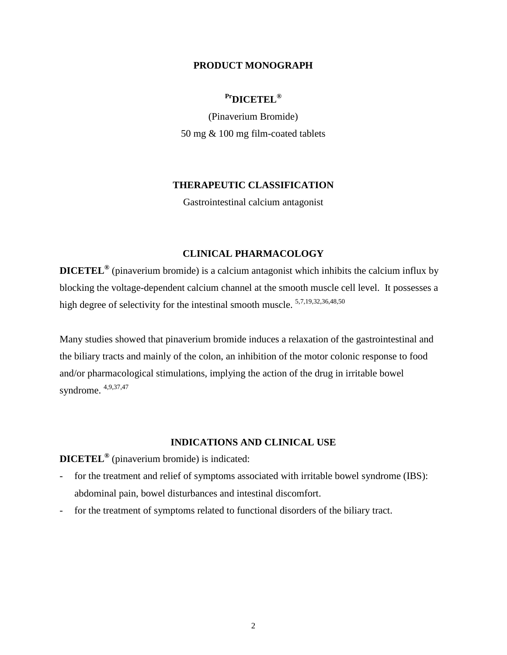### **PRODUCT MONOGRAPH**

# **PrDICETEL®**

(Pinaverium Bromide) 50 mg & 100 mg film-coated tablets

### **THERAPEUTIC CLASSIFICATION**

Gastrointestinal calcium antagonist

### **CLINICAL PHARMACOLOGY**

**DICETEL®** (pinaverium bromide) is a calcium antagonist which inhibits the calcium influx by blocking the voltage-dependent calcium channel at the smooth muscle cell level. It possesses a high degree of selectivity for the intestinal smooth muscle.  $5,7,19,32,36,48,50$ 

Many studies showed that pinaverium bromide induces a relaxation of the gastrointestinal and the biliary tracts and mainly of the colon, an inhibition of the motor colonic response to food and/or pharmacological stimulations, implying the action of the drug in irritable bowel syndrome. 4,9,37,47

# **INDICATIONS AND CLINICAL USE**

**DICETEL®** (pinaverium bromide) is indicated:

- for the treatment and relief of symptoms associated with irritable bowel syndrome (IBS): abdominal pain, bowel disturbances and intestinal discomfort.
- for the treatment of symptoms related to functional disorders of the biliary tract.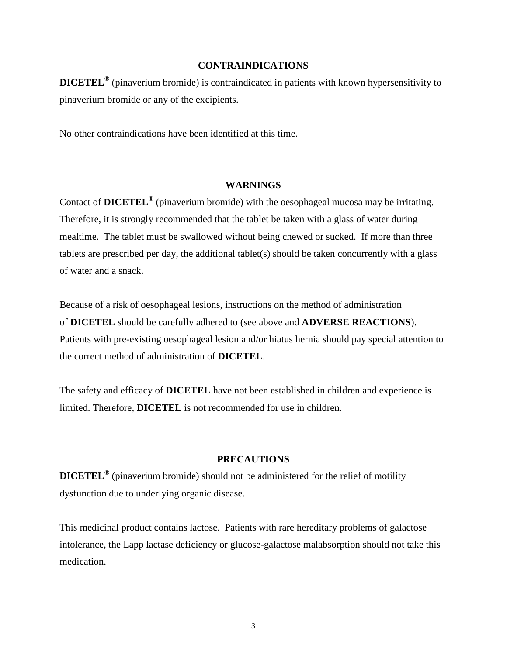#### **CONTRAINDICATIONS**

**DICETEL®** (pinaverium bromide) is contraindicated in patients with known hypersensitivity to pinaverium bromide or any of the excipients.

No other contraindications have been identified at this time.

#### **WARNINGS**

Contact of **DICETEL®** (pinaverium bromide) with the oesophageal mucosa may be irritating. Therefore, it is strongly recommended that the tablet be taken with a glass of water during mealtime. The tablet must be swallowed without being chewed or sucked. If more than three tablets are prescribed per day, the additional tablet(s) should be taken concurrently with a glass of water and a snack.

Because of a risk of oesophageal lesions, instructions on the method of administration of **DICETEL** should be carefully adhered to (see above and **ADVERSE REACTIONS**). Patients with pre-existing oesophageal lesion and/or hiatus hernia should pay special attention to the correct method of administration of **DICETEL**.

The safety and efficacy of **DICETEL** have not been established in children and experience is limited. Therefore, **DICETEL** is not recommended for use in children.

### **PRECAUTIONS**

**DICETEL®** (pinaverium bromide) should not be administered for the relief of motility dysfunction due to underlying organic disease.

This medicinal product contains lactose. Patients with rare hereditary problems of galactose intolerance, the Lapp lactase deficiency or glucose-galactose malabsorption should not take this medication.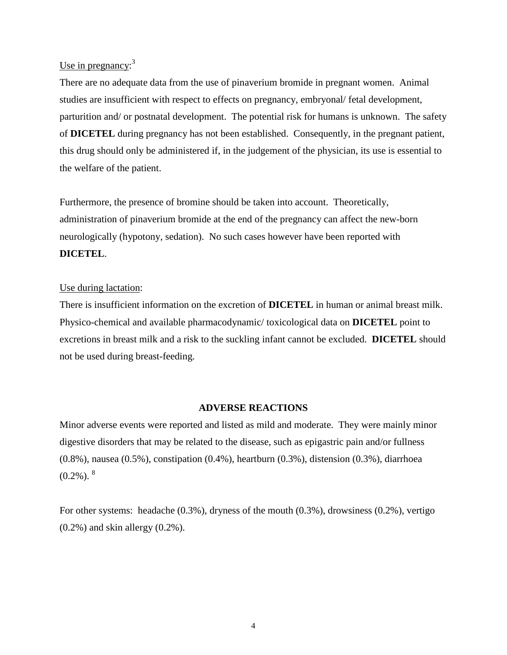# Use in pregnancy:<sup>3</sup>

There are no adequate data from the use of pinaverium bromide in pregnant women. Animal studies are insufficient with respect to effects on pregnancy, embryonal/ fetal development, parturition and/ or postnatal development. The potential risk for humans is unknown. The safety of **DICETEL** during pregnancy has not been established. Consequently, in the pregnant patient, this drug should only be administered if, in the judgement of the physician, its use is essential to the welfare of the patient.

Furthermore, the presence of bromine should be taken into account. Theoretically, administration of pinaverium bromide at the end of the pregnancy can affect the new-born neurologically (hypotony, sedation). No such cases however have been reported with **DICETEL**.

#### Use during lactation:

There is insufficient information on the excretion of **DICETEL** in human or animal breast milk. Physico-chemical and available pharmacodynamic/ toxicological data on **DICETEL** point to excretions in breast milk and a risk to the suckling infant cannot be excluded. **DICETEL** should not be used during breast-feeding.

#### **ADVERSE REACTIONS**

Minor adverse events were reported and listed as mild and moderate. They were mainly minor digestive disorders that may be related to the disease, such as epigastric pain and/or fullness (0.8%), nausea (0.5%), constipation (0.4%), heartburn (0.3%), distension (0.3%), diarrhoea  $(0.2\%)$ .  $^{8}$ 

For other systems: headache (0.3%), dryness of the mouth (0.3%), drowsiness (0.2%), vertigo (0.2%) and skin allergy (0.2%).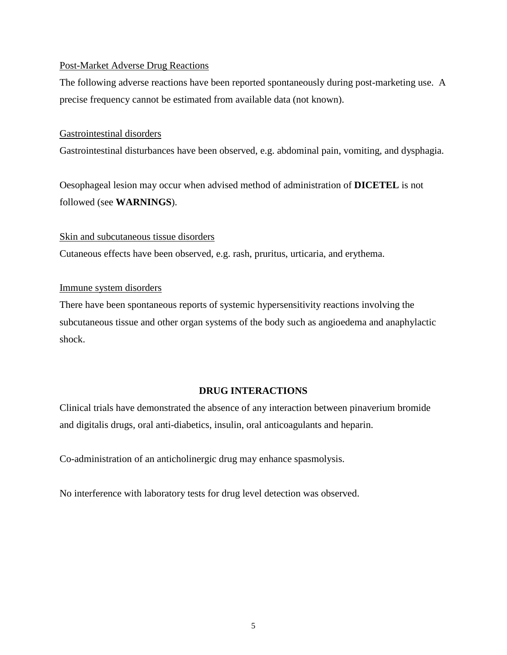### Post-Market Adverse Drug Reactions

The following adverse reactions have been reported spontaneously during post-marketing use. A precise frequency cannot be estimated from available data (not known).

### Gastrointestinal disorders

Gastrointestinal disturbances have been observed, e.g. abdominal pain, vomiting, and dysphagia.

Oesophageal lesion may occur when advised method of administration of **DICETEL** is not followed (see **WARNINGS**).

### Skin and subcutaneous tissue disorders

Cutaneous effects have been observed, e.g. rash, pruritus, urticaria, and erythema.

### Immune system disorders

There have been spontaneous reports of systemic hypersensitivity reactions involving the subcutaneous tissue and other organ systems of the body such as angioedema and anaphylactic shock.

# **DRUG INTERACTIONS**

Clinical trials have demonstrated the absence of any interaction between pinaverium bromide and digitalis drugs, oral anti-diabetics, insulin, oral anticoagulants and heparin.

Co-administration of an anticholinergic drug may enhance spasmolysis.

No interference with laboratory tests for drug level detection was observed.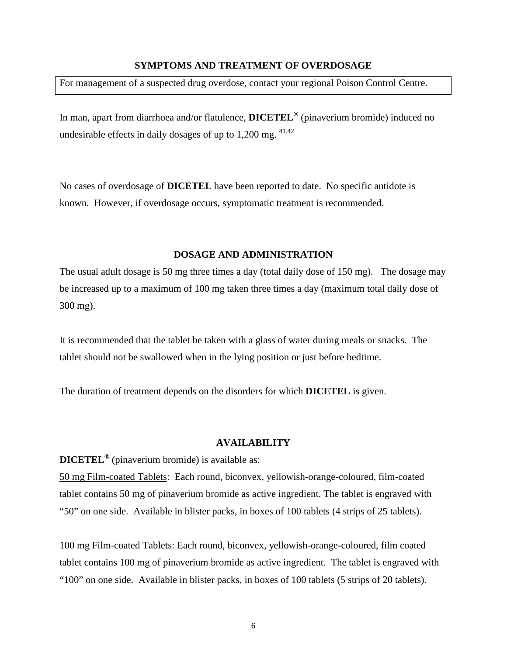#### **SYMPTOMS AND TREATMENT OF OVERDOSAGE**

For management of a suspected drug overdose, contact your regional Poison Control Centre.

In man, apart from diarrhoea and/or flatulence, **DICETEL®** (pinaverium bromide) induced no undesirable effects in daily dosages of up to  $1,200$  mg.  $41,42$ 

No cases of overdosage of **DICETEL** have been reported to date. No specific antidote is known. However, if overdosage occurs, symptomatic treatment is recommended.

#### **DOSAGE AND ADMINISTRATION**

The usual adult dosage is 50 mg three times a day (total daily dose of 150 mg). The dosage may be increased up to a maximum of 100 mg taken three times a day (maximum total daily dose of 300 mg).

It is recommended that the tablet be taken with a glass of water during meals or snacks. The tablet should not be swallowed when in the lying position or just before bedtime.

The duration of treatment depends on the disorders for which **DICETEL** is given.

#### **AVAILABILITY**

**DICETEL®** (pinaverium bromide) is available as:

50 mg Film-coated Tablets: Each round, biconvex, yellowish-orange-coloured, film-coated tablet contains 50 mg of pinaverium bromide as active ingredient. The tablet is engraved with "50" on one side. Available in blister packs, in boxes of 100 tablets (4 strips of 25 tablets).

100 mg Film-coated Tablets: Each round, biconvex, yellowish-orange-coloured, film coated tablet contains 100 mg of pinaverium bromide as active ingredient. The tablet is engraved with "100" on one side. Available in blister packs, in boxes of 100 tablets (5 strips of 20 tablets).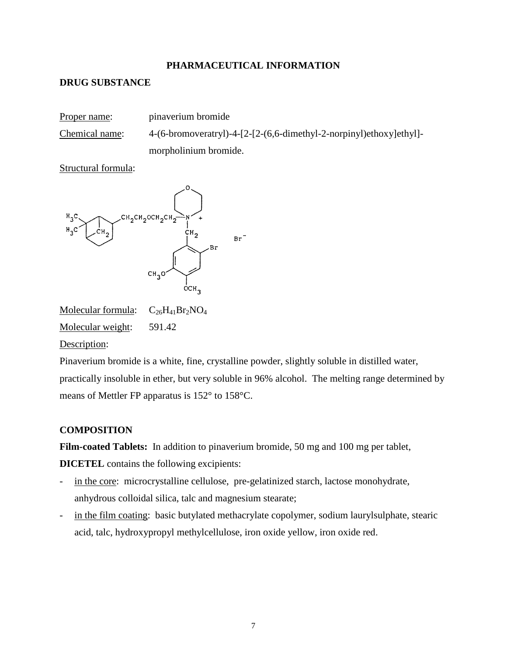# **PHARMACEUTICAL INFORMATION**

# **DRUG SUBSTANCE**

| Proper name:   | pinaverium bromide                                                  |
|----------------|---------------------------------------------------------------------|
| Chemical name: | 4-(6-bromoveratryl)-4-[2-[2-(6,6-dimethyl-2-norpinyl)ethoxy]ethyl]- |
|                | morpholinium bromide.                                               |

Structural formula:



Molecular formula:  $C_{26}H_{41}Br_2NO_4$ Molecular weight: 591.42

Description:

Pinaverium bromide is a white, fine, crystalline powder, slightly soluble in distilled water, practically insoluble in ether, but very soluble in 96% alcohol. The melting range determined by means of Mettler FP apparatus is 152° to 158°C.

# **COMPOSITION**

**Film-coated Tablets:** In addition to pinaverium bromide, 50 mg and 100 mg per tablet,

**DICETEL** contains the following excipients:

- in the core: microcrystalline cellulose, pre-gelatinized starch, lactose monohydrate, anhydrous colloidal silica, talc and magnesium stearate;
- in the film coating: basic butylated methacrylate copolymer, sodium laurylsulphate, stearic acid, talc, hydroxypropyl methylcellulose, iron oxide yellow, iron oxide red.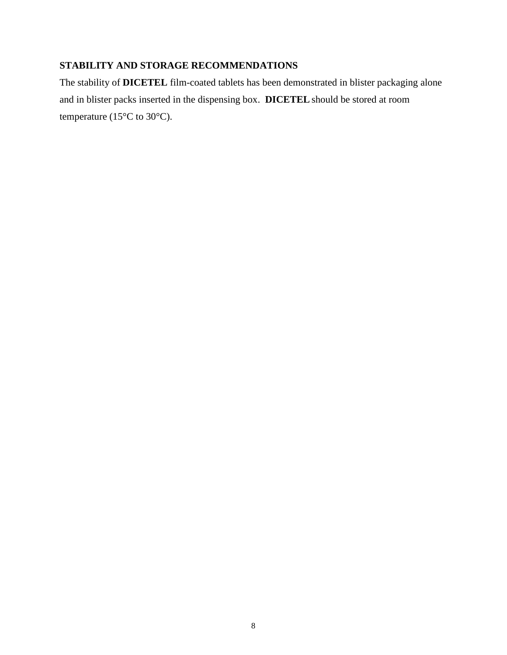# **STABILITY AND STORAGE RECOMMENDATIONS**

The stability of **DICETEL** film-coated tablets has been demonstrated in blister packaging alone and in blister packs inserted in the dispensing box. **DICETEL** should be stored at room temperature (15°C to 30°C).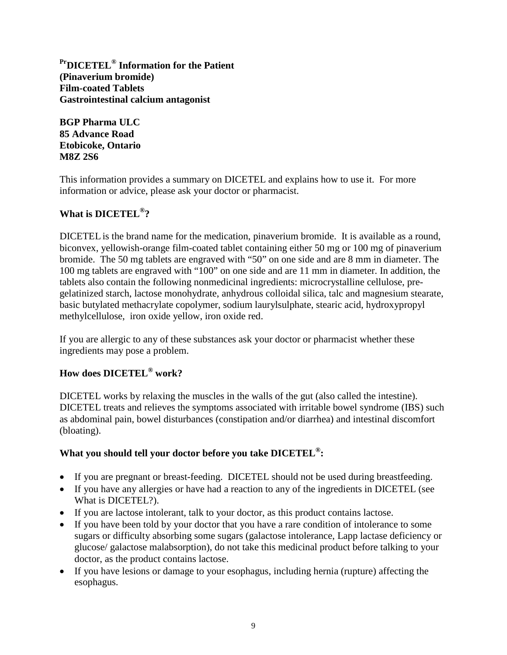**PrDICETEL® Information for the Patient (Pinaverium bromide) Film-coated Tablets Gastrointestinal calcium antagonist**

**BGP Pharma ULC 85 Advance Road Etobicoke, Ontario M8Z 2S6**

This information provides a summary on DICETEL and explains how to use it. For more information or advice, please ask your doctor or pharmacist.

# **What is DICETEL®?**

DICETELis the brand name for the medication, pinaverium bromide. It is available as a round, biconvex, yellowish-orange film-coated tablet containing either 50 mg or 100 mg of pinaverium bromide. The 50 mg tablets are engraved with "50" on one side and are 8 mm in diameter. The 100 mg tablets are engraved with "100" on one side and are 11 mm in diameter. In addition, the tablets also contain the following nonmedicinal ingredients: microcrystalline cellulose, pregelatinized starch, lactose monohydrate, anhydrous colloidal silica, talc and magnesium stearate, basic butylated methacrylate copolymer, sodium laurylsulphate, stearic acid, hydroxypropyl methylcellulose, iron oxide yellow, iron oxide red.

If you are allergic to any of these substances ask your doctor or pharmacist whether these ingredients may pose a problem.

# **How does DICETEL® work?**

DICETEL works by relaxing the muscles in the walls of the gut (also called the intestine). DICETEL treats and relieves the symptoms associated with irritable bowel syndrome (IBS) such as abdominal pain, bowel disturbances (constipation and/or diarrhea) and intestinal discomfort (bloating).

# **What you should tell your doctor before you take DICETEL®:**

- If you are pregnant or breast-feeding. DICETEL should not be used during breastfeeding.
- If you have any allergies or have had a reaction to any of the ingredients in DICETEL (see What is DICETEL?).
- If you are lactose intolerant, talk to your doctor, as this product contains lactose.
- If you have been told by your doctor that you have a rare condition of intolerance to some sugars or difficulty absorbing some sugars (galactose intolerance, Lapp lactase deficiency or glucose/ galactose malabsorption), do not take this medicinal product before talking to your doctor, as the product contains lactose.
- If you have lesions or damage to your esophagus, including hernia (rupture) affecting the esophagus.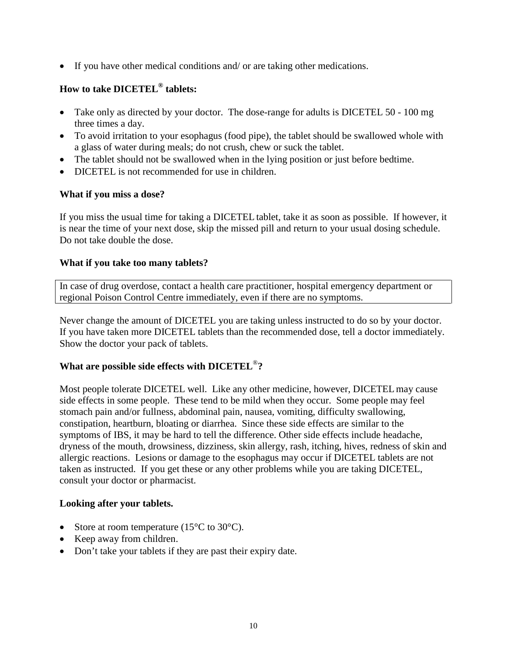• If you have other medical conditions and/ or are taking other medications.

# **How to take DICETEL® tablets:**

- Take only as directed by your doctor. The dose-range for adults is DICETEL 50 100 mg three times a day.
- To avoid irritation to your esophagus (food pipe), the tablet should be swallowed whole with a glass of water during meals; do not crush, chew or suck the tablet.
- The tablet should not be swallowed when in the lying position or just before bedtime.
- DICETEL is not recommended for use in children.

# **What if you miss a dose?**

If you miss the usual time for taking a DICETEL tablet, take it as soon as possible. If however, it is near the time of your next dose, skip the missed pill and return to your usual dosing schedule. Do not take double the dose.

# **What if you take too many tablets?**

In case of drug overdose, contact a health care practitioner, hospital emergency department or regional Poison Control Centre immediately, even if there are no symptoms.

Never change the amount of DICETEL you are taking unless instructed to do so by your doctor. If you have taken more DICETEL tablets than the recommended dose, tell a doctor immediately. Show the doctor your pack of tablets.

# **What are possible side effects with DICETEL**®**?**

Most people tolerate DICETEL well. Like any other medicine, however, DICETELmay cause side effects in some people. These tend to be mild when they occur. Some people may feel stomach pain and/or fullness, abdominal pain, nausea, vomiting, difficulty swallowing, constipation, heartburn, bloating or diarrhea. Since these side effects are similar to the symptoms of IBS, it may be hard to tell the difference. Other side effects include headache, dryness of the mouth, drowsiness, dizziness, skin allergy, rash, itching, hives, redness of skin and allergic reactions. Lesions or damage to the esophagus may occur if DICETEL tablets are not taken as instructed. If you get these or any other problems while you are taking DICETEL, consult your doctor or pharmacist.

# **Looking after your tablets.**

- Store at room temperature ( $15^{\circ}$ C to  $30^{\circ}$ C).
- Keep away from children.
- Don't take your tablets if they are past their expiry date.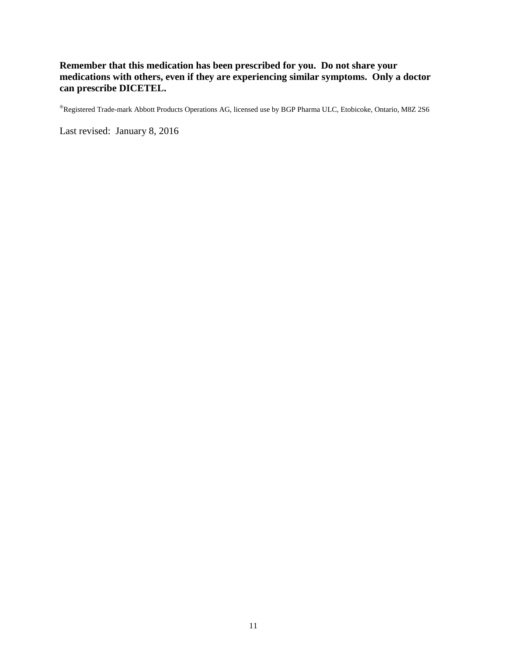# **Remember that this medication has been prescribed for you. Do not share your medications with others, even if they are experiencing similar symptoms. Only a doctor can prescribe DICETEL.**

®Registered Trade-mark Abbott Products Operations AG, licensed use by BGP Pharma ULC, Etobicoke, Ontario, M8Z 2S6

Last revised: January 8, 2016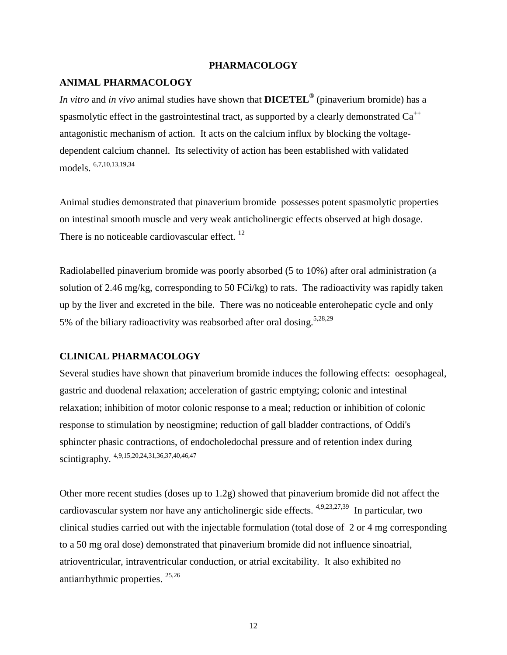#### **PHARMACOLOGY**

#### **ANIMAL PHARMACOLOGY**

*In vitro* and *in vivo* animal studies have shown that **DICETEL®** (pinaverium bromide) has a spasmolytic effect in the gastrointestinal tract, as supported by a clearly demonstrated  $Ca^{++}$ antagonistic mechanism of action. It acts on the calcium influx by blocking the voltagedependent calcium channel. Its selectivity of action has been established with validated models. 6,7,10,13,19,34

Animal studies demonstrated that pinaverium bromide possesses potent spasmolytic properties on intestinal smooth muscle and very weak anticholinergic effects observed at high dosage. There is no noticeable cardiovascular effect.<sup>12</sup>

Radiolabelled pinaverium bromide was poorly absorbed (5 to 10%) after oral administration (a solution of 2.46 mg/kg, corresponding to 50 FCi/kg) to rats. The radioactivity was rapidly taken up by the liver and excreted in the bile. There was no noticeable enterohepatic cycle and only 5% of the biliary radioactivity was reabsorbed after oral dosing.<sup>5,28,29</sup>

#### **CLINICAL PHARMACOLOGY**

Several studies have shown that pinaverium bromide induces the following effects: oesophageal, gastric and duodenal relaxation; acceleration of gastric emptying; colonic and intestinal relaxation; inhibition of motor colonic response to a meal; reduction or inhibition of colonic response to stimulation by neostigmine; reduction of gall bladder contractions, of Oddi's sphincter phasic contractions, of endocholedochal pressure and of retention index during scintigraphy. 4,9,15,20,24,31,36,37,40,46,47

Other more recent studies (doses up to 1.2g) showed that pinaverium bromide did not affect the cardiovascular system nor have any anticholinergic side effects.  $4,9,23,27,39$  In particular, two clinical studies carried out with the injectable formulation (total dose of 2 or 4 mg corresponding to a 50 mg oral dose) demonstrated that pinaverium bromide did not influence sinoatrial, atrioventricular, intraventricular conduction, or atrial excitability. It also exhibited no antiarrhythmic properties. 25,26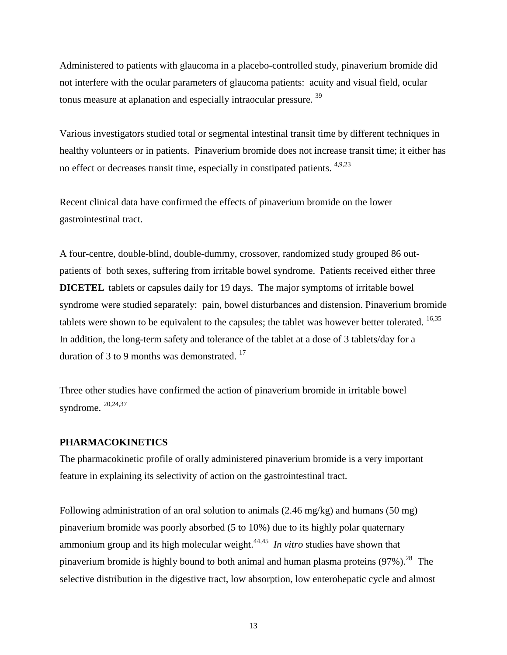Administered to patients with glaucoma in a placebo-controlled study, pinaverium bromide did not interfere with the ocular parameters of glaucoma patients: acuity and visual field, ocular tonus measure at aplanation and especially intraocular pressure.<sup>39</sup>

Various investigators studied total or segmental intestinal transit time by different techniques in healthy volunteers or in patients. Pinaverium bromide does not increase transit time; it either has no effect or decreases transit time, especially in constipated patients. <sup>4,9,23</sup>

Recent clinical data have confirmed the effects of pinaverium bromide on the lower gastrointestinal tract.

A four-centre, double-blind, double-dummy, crossover, randomized study grouped 86 outpatients of both sexes, suffering from irritable bowel syndrome. Patients received either three **DICETEL** tablets or capsules daily for 19 days. The major symptoms of irritable bowel syndrome were studied separately: pain, bowel disturbances and distension. Pinaverium bromide tablets were shown to be equivalent to the capsules; the tablet was however better tolerated.  $16,35$ In addition, the long-term safety and tolerance of the tablet at a dose of 3 tablets/day for a duration of 3 to 9 months was demonstrated.  $17$ 

Three other studies have confirmed the action of pinaverium bromide in irritable bowel syndrome. 20,24,37

### **PHARMACOKINETICS**

The pharmacokinetic profile of orally administered pinaverium bromide is a very important feature in explaining its selectivity of action on the gastrointestinal tract.

Following administration of an oral solution to animals  $(2.46 \text{ mg/kg})$  and humans  $(50 \text{ mg})$ pinaverium bromide was poorly absorbed (5 to 10%) due to its highly polar quaternary ammonium group and its high molecular weight.44,45 *In vitro* studies have shown that pinaverium bromide is highly bound to both animal and human plasma proteins (97%).<sup>28</sup> The selective distribution in the digestive tract, low absorption, low enterohepatic cycle and almost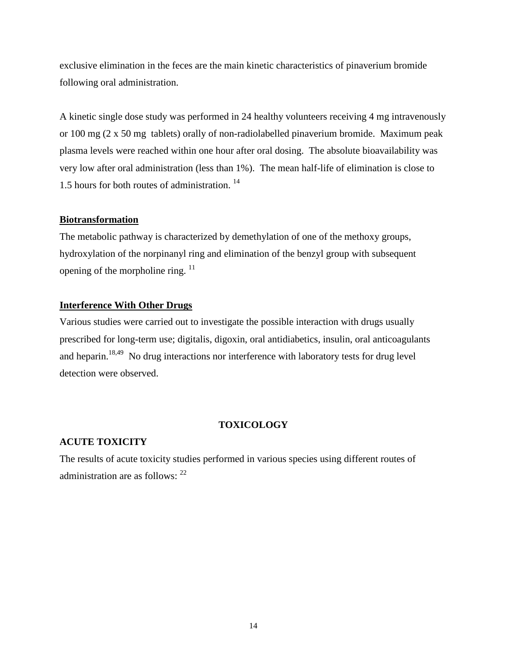exclusive elimination in the feces are the main kinetic characteristics of pinaverium bromide following oral administration.

A kinetic single dose study was performed in 24 healthy volunteers receiving 4 mg intravenously or 100 mg (2 x 50 mg tablets) orally of non-radiolabelled pinaverium bromide. Maximum peak plasma levels were reached within one hour after oral dosing. The absolute bioavailability was very low after oral administration (less than 1%). The mean half-life of elimination is close to 1.5 hours for both routes of administration. 14

### **Biotransformation**

The metabolic pathway is characterized by demethylation of one of the methoxy groups, hydroxylation of the norpinanyl ring and elimination of the benzyl group with subsequent opening of the morpholine ring.  $11$ 

# **Interference With Other Drugs**

Various studies were carried out to investigate the possible interaction with drugs usually prescribed for long-term use; digitalis, digoxin, oral antidiabetics, insulin, oral anticoagulants and heparin.<sup>18,49</sup> No drug interactions nor interference with laboratory tests for drug level detection were observed.

# **TOXICOLOGY**

# **ACUTE TOXICITY**

The results of acute toxicity studies performed in various species using different routes of administration are as follows: <sup>22</sup>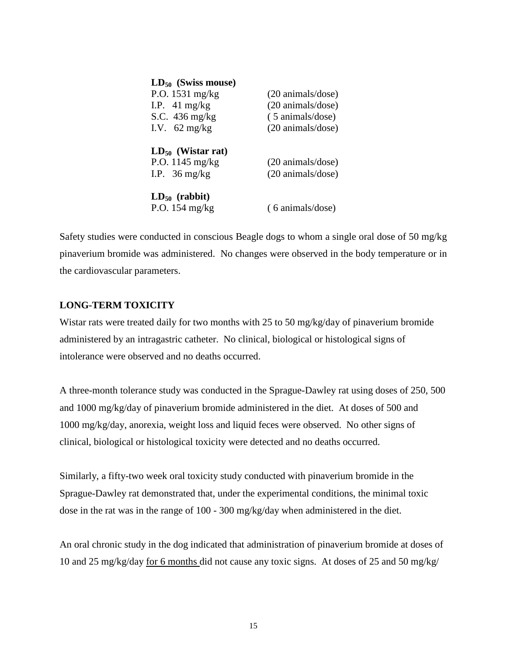| $LD_{50}$ (Swiss mouse)   |                            |
|---------------------------|----------------------------|
| P.O. $1531 \text{ mg/kg}$ | (20 animals/dose)          |
| I.P. $41 \text{ mg/kg}$   | (20 animals/dose)          |
| S.C. $436 \text{ mg/kg}$  | (5 animals/dose)           |
| I.V. $62 \text{ mg/kg}$   | (20 animals/dose)          |
| $LD_{50}$ (Wistar rat)    |                            |
| P.O. $1145 \text{ mg/kg}$ | (20 animals/dose)          |
| I.P. $36 \text{ mg/kg}$   | (20 animals/dose)          |
| $LD_{50}$ (rabbit)        |                            |
| P.O. $154 \text{ mg/kg}$  | $(6 \text{ animals/dose})$ |

Safety studies were conducted in conscious Beagle dogs to whom a single oral dose of 50 mg/kg pinaverium bromide was administered. No changes were observed in the body temperature or in the cardiovascular parameters.

# **LONG-TERM TOXICITY**

Wistar rats were treated daily for two months with 25 to 50 mg/kg/day of pinaverium bromide administered by an intragastric catheter. No clinical, biological or histological signs of intolerance were observed and no deaths occurred.

A three-month tolerance study was conducted in the Sprague-Dawley rat using doses of 250, 500 and 1000 mg/kg/day of pinaverium bromide administered in the diet. At doses of 500 and 1000 mg/kg/day, anorexia, weight loss and liquid feces were observed. No other signs of clinical, biological or histological toxicity were detected and no deaths occurred.

Similarly, a fifty-two week oral toxicity study conducted with pinaverium bromide in the Sprague-Dawley rat demonstrated that, under the experimental conditions, the minimal toxic dose in the rat was in the range of 100 - 300 mg/kg/day when administered in the diet.

An oral chronic study in the dog indicated that administration of pinaverium bromide at doses of 10 and 25 mg/kg/day for 6 months did not cause any toxic signs. At doses of 25 and 50 mg/kg/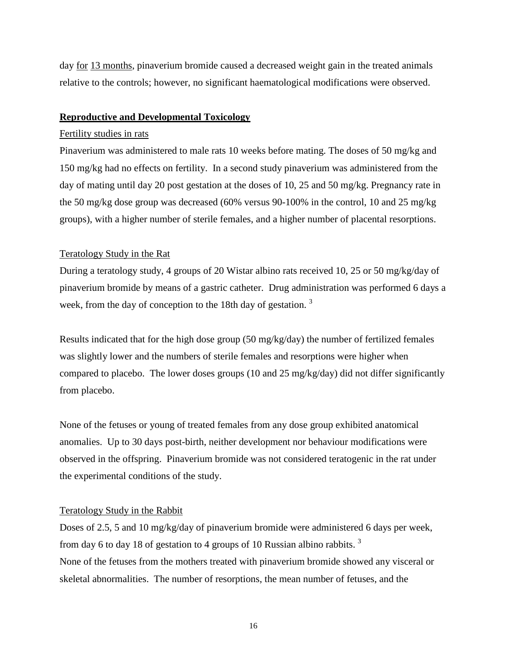day for 13 months, pinaverium bromide caused a decreased weight gain in the treated animals relative to the controls; however, no significant haematological modifications were observed.

### **Reproductive and Developmental Toxicology**

### Fertility studies in rats

Pinaverium was administered to male rats 10 weeks before mating. The doses of 50 mg/kg and 150 mg/kg had no effects on fertility. In a second study pinaverium was administered from the day of mating until day 20 post gestation at the doses of 10, 25 and 50 mg/kg. Pregnancy rate in the 50 mg/kg dose group was decreased (60% versus 90-100% in the control, 10 and 25 mg/kg groups), with a higher number of sterile females, and a higher number of placental resorptions.

# Teratology Study in the Rat

During a teratology study, 4 groups of 20 Wistar albino rats received 10, 25 or 50 mg/kg/day of pinaverium bromide by means of a gastric catheter. Drug administration was performed 6 days a week, from the day of conception to the 18th day of gestation.<sup>3</sup>

Results indicated that for the high dose group (50 mg/kg/day) the number of fertilized females was slightly lower and the numbers of sterile females and resorptions were higher when compared to placebo. The lower doses groups (10 and 25 mg/kg/day) did not differ significantly from placebo.

None of the fetuses or young of treated females from any dose group exhibited anatomical anomalies. Up to 30 days post-birth, neither development nor behaviour modifications were observed in the offspring. Pinaverium bromide was not considered teratogenic in the rat under the experimental conditions of the study.

#### Teratology Study in the Rabbit

Doses of 2.5, 5 and 10 mg/kg/day of pinaverium bromide were administered 6 days per week, from day 6 to day 18 of gestation to 4 groups of 10 Russian albino rabbits.<sup>3</sup> None of the fetuses from the mothers treated with pinaverium bromide showed any visceral or skeletal abnormalities. The number of resorptions, the mean number of fetuses, and the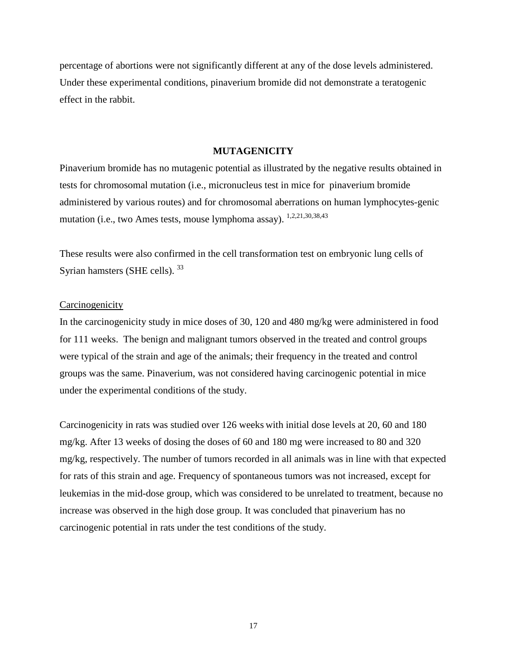percentage of abortions were not significantly different at any of the dose levels administered. Under these experimental conditions, pinaverium bromide did not demonstrate a teratogenic effect in the rabbit.

#### **MUTAGENICITY**

Pinaverium bromide has no mutagenic potential as illustrated by the negative results obtained in tests for chromosomal mutation (i.e., micronucleus test in mice for pinaverium bromide administered by various routes) and for chromosomal aberrations on human lymphocytes-genic mutation (i.e., two Ames tests, mouse lymphoma assay). 1,2,21,30,38,43

These results were also confirmed in the cell transformation test on embryonic lung cells of Syrian hamsters (SHE cells).<sup>33</sup>

#### **Carcinogenicity**

In the carcinogenicity study in mice doses of 30, 120 and 480 mg/kg were administered in food for 111 weeks. The benign and malignant tumors observed in the treated and control groups were typical of the strain and age of the animals; their frequency in the treated and control groups was the same. Pinaverium, was not considered having carcinogenic potential in mice under the experimental conditions of the study.

Carcinogenicity in rats was studied over 126 weeks with initial dose levels at 20, 60 and 180 mg/kg. After 13 weeks of dosing the doses of 60 and 180 mg were increased to 80 and 320 mg/kg, respectively. The number of tumors recorded in all animals was in line with that expected for rats of this strain and age. Frequency of spontaneous tumors was not increased, except for leukemias in the mid-dose group, which was considered to be unrelated to treatment, because no increase was observed in the high dose group. It was concluded that pinaverium has no carcinogenic potential in rats under the test conditions of the study.

17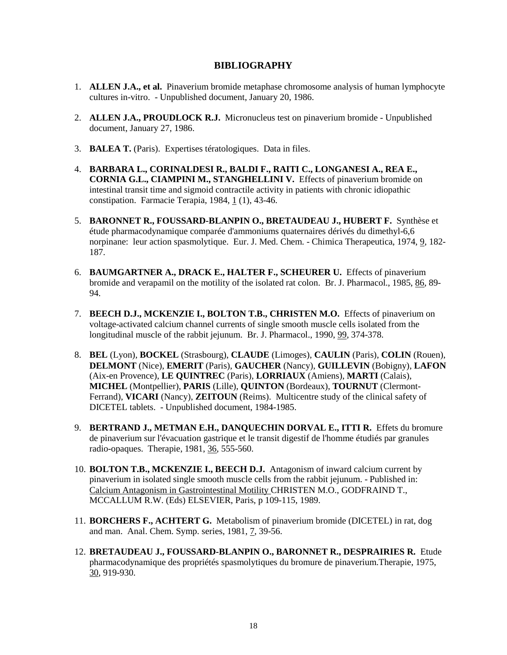### **BIBLIOGRAPHY**

- 1. **ALLEN J.A., et al.** Pinaverium bromide metaphase chromosome analysis of human lymphocyte cultures in-vitro. - Unpublished document, January 20, 1986.
- 2. **ALLEN J.A., PROUDLOCK R.J.** Micronucleus test on pinaverium bromide Unpublished document, January 27, 1986.
- 3. **BALEA T.** (Paris). Expertises tératologiques. Data in files.
- 4. **BARBARA L., CORINALDESI R., BALDI F., RAITI C., LONGANESI A., REA E., CORNIA G.L., CIAMPINI M., STANGHELLINI V.** Effects of pinaverium bromide on intestinal transit time and sigmoid contractile activity in patients with chronic idiopathic constipation. Farmacie Terapia, 1984, 1 (1), 43-46.
- 5. **BARONNET R., FOUSSARD-BLANPIN O., BRETAUDEAU J., HUBERT F.** Synthèse et étude pharmacodynamique comparée d'ammoniums quaternaires dérivés du dimethyl-6,6 norpinane: leur action spasmolytique. Eur. J. Med. Chem. - Chimica Therapeutica, 1974, 9, 182- 187.
- 6. **BAUMGARTNER A., DRACK E., HALTER F., SCHEURER U.** Effects of pinaverium bromide and verapamil on the motility of the isolated rat colon. Br. J. Pharmacol., 1985, 86, 89- 94.
- 7. **BEECH D.J., MCKENZIE I., BOLTON T.B., CHRISTEN M.O.** Effects of pinaverium on voltage-activated calcium channel currents of single smooth muscle cells isolated from the longitudinal muscle of the rabbit jejunum. Br. J. Pharmacol., 1990, 99, 374-378.
- 8. **BEL** (Lyon), **BOCKEL** (Strasbourg), **CLAUDE** (Limoges), **CAULIN** (Paris), **COLIN** (Rouen), **DELMONT** (Nice), **EMERIT** (Paris), **GAUCHER** (Nancy), **GUILLEVIN** (Bobigny), **LAFON** (Aix-en Provence), **LE QUINTREC** (Paris), **LORRIAUX** (Amiens), **MARTI** (Calais), **MICHEL** (Montpellier), **PARIS** (Lille), **QUINTON** (Bordeaux), **TOURNUT** (Clermont-Ferrand), **VICARI** (Nancy), **ZEITOUN** (Reims). Multicentre study of the clinical safety of DICETEL tablets. - Unpublished document, 1984-1985.
- 9. **BERTRAND J., METMAN E.H., DANQUECHIN DORVAL E., ITTI R.** Effets du bromure de pinaverium sur l'évacuation gastrique et le transit digestif de l'homme étudiés par granules radio-opaques. Therapie, 1981, 36, 555-560.
- 10. **BOLTON T.B., MCKENZIE I., BEECH D.J.** Antagonism of inward calcium current by pinaverium in isolated single smooth muscle cells from the rabbit jejunum. - Published in: Calcium Antagonism in Gastrointestinal Motility CHRISTEN M.O., GODFRAIND T., MCCALLUM R.W. (Eds) ELSEVIER, Paris, p 109-115, 1989.
- 11. **BORCHERS F., ACHTERT G.** Metabolism of pinaverium bromide (DICETEL) in rat, dog and man. Anal. Chem. Symp. series, 1981, 7, 39-56.
- 12. **BRETAUDEAU J., FOUSSARD-BLANPIN O., BARONNET R., DESPRAIRIES R.** Etude pharmacodynamique des propriétés spasmolytiques du bromure de pinaverium.Therapie, 1975, 30, 919-930.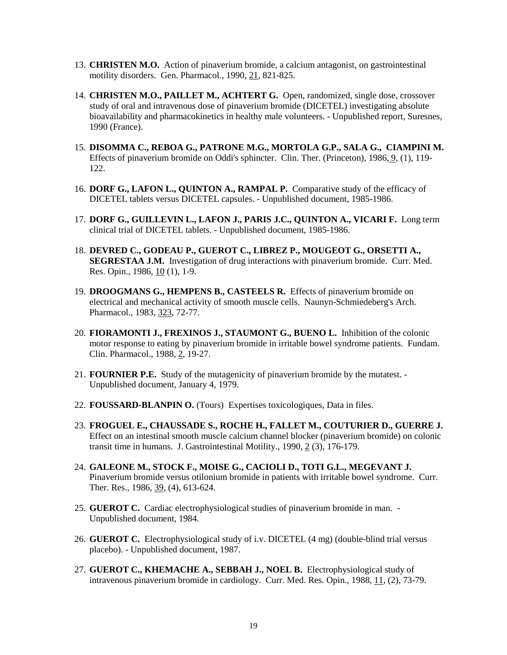- 13. **CHRISTEN M.O.** Action of pinaverium bromide, a calcium antagonist, on gastrointestinal motility disorders. Gen. Pharmacol., 1990, 21, 821-825.
- 14. **CHRISTEN M.O., PAILLET M., ACHTERT G.** Open, randomized, single dose, crossover study of oral and intravenous dose of pinaverium bromide (DICETEL) investigating absolute bioavailability and pharmacokinetics in healthy male volunteers. - Unpublished report, Suresnes, 1990 (France).
- 15. **DISOMMA C., REBOA G., PATRONE M.G., MORTOLA G.P., SALA G., CIAMPINI M.**  Effects of pinaverium bromide on Oddi's sphincter. Clin. Ther. (Princeton), 1986, 9, (1), 119- 122.
- 16. **DORF G., LAFON L., QUINTON A., RAMPAL P.** Comparative study of the efficacy of DICETEL tablets versus DICETEL capsules. - Unpublished document, 1985-1986.
- 17. **DORF G., GUILLEVIN L., LAFON J., PARIS J.C., QUINTON A., VICARI F.** Long term clinical trial of DICETEL tablets. - Unpublished document, 1985-1986.
- 18. **DEVRED C., GODEAU P., GUEROT C., LIBREZ P., MOUGEOT G., ORSETTI A., SEGRESTAA J.M.** Investigation of drug interactions with pinaverium bromide. Curr. Med. Res. Opin., 1986, 10 (1), 1-9.
- 19. **DROOGMANS G., HEMPENS B., CASTEELS R.** Effects of pinaverium bromide on electrical and mechanical activity of smooth muscle cells. Naunyn-Schmiedeberg's Arch. Pharmacol., 1983, 323, 72-77.
- 20. **FIORAMONTI J., FREXINOS J., STAUMONT G., BUENO L.** Inhibition of the colonic motor response to eating by pinaverium bromide in irritable bowel syndrome patients. Fundam. Clin. Pharmacol., 1988, 2, 19-27.
- 21. **FOURNIER P.E.** Study of the mutagenicity of pinaverium bromide by the mutatest. Unpublished document, January 4, 1979.
- 22. **FOUSSARD-BLANPIN O.** (Tours) Expertises toxicologiques, Data in files.
- 23. **FROGUEL E., CHAUSSADE S., ROCHE H., FALLET M., COUTURIER D., GUERRE J.**  Effect on an intestinal smooth muscle calcium channel blocker (pinaverium bromide) on colonic transit time in humans. J. Gastrointestinal Motility., 1990, 2 (3), 176-179.
- 24. **GALEONE M., STOCK F., MOISE G., CACIOLI D., TOTI G.L., MEGEVANT J.**  Pinaverium bromide versus otilonium bromide in patients with irritable bowel syndrome. Curr. Ther. Res., 1986, 39, (4), 613-624.
- 25. **GUEROT C.** Cardiac electrophysiological studies of pinaverium bromide in man. Unpublished document, 1984.
- 26. **GUEROT C.** Electrophysiological study of i.v. DICETEL (4 mg) (double-blind trial versus placebo). - Unpublished document, 1987.
- 27. **GUEROT C., KHEMACHE A., SEBBAH J., NOEL B.** Electrophysiological study of intravenous pinaverium bromide in cardiology. Curr. Med. Res. Opin., 1988, 11, (2), 73-79.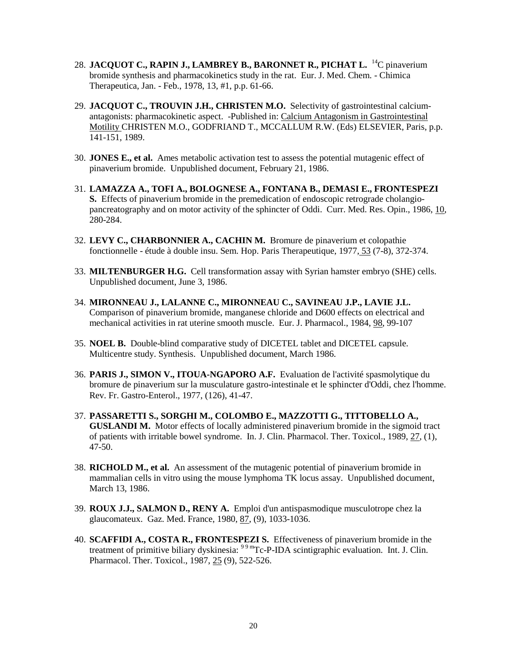- 28. **JACQUOT C., RAPIN J., LAMBREY B., BARONNET R., PICHAT L.** 14C pinaverium bromide synthesis and pharmacokinetics study in the rat. Eur. J. Med. Chem. - Chimica Therapeutica, Jan. - Feb., 1978, 13, #1, p.p. 61-66.
- 29. **JACQUOT C., TROUVIN J.H., CHRISTEN M.O.** Selectivity of gastrointestinal calciumantagonists: pharmacokinetic aspect. -Published in: Calcium Antagonism in Gastrointestinal Motility CHRISTEN M.O., GODFRIAND T., MCCALLUM R.W. (Eds) ELSEVIER, Paris, p.p. 141-151, 1989.
- 30. **JONES E., et al.** Ames metabolic activation test to assess the potential mutagenic effect of pinaverium bromide. Unpublished document, February 21, 1986.
- 31. **LAMAZZA A., TOFI A., BOLOGNESE A., FONTANA B., DEMASI E., FRONTESPEZI S.** Effects of pinaverium bromide in the premedication of endoscopic retrograde cholangiopancreatography and on motor activity of the sphincter of Oddi. Curr. Med. Res. Opin., 1986, 10, 280-284.
- 32. **LEVY C., CHARBONNIER A., CACHIN M.** Bromure de pinaverium et colopathie fonctionnelle - étude à double insu. Sem. Hop. Paris Therapeutique, 1977, 53 (7-8), 372-374.
- 33. **MILTENBURGER H.G.** Cell transformation assay with Syrian hamster embryo (SHE) cells. Unpublished document, June 3, 1986.
- 34. **MIRONNEAU J., LALANNE C., MIRONNEAU C., SAVINEAU J.P., LAVIE J.L.**  Comparison of pinaverium bromide, manganese chloride and D600 effects on electrical and mechanical activities in rat uterine smooth muscle. Eur. J. Pharmacol., 1984, 98, 99-107
- 35. **NOEL B.** Double-blind comparative study of DICETEL tablet and DICETEL capsule. Multicentre study. Synthesis. Unpublished document, March 1986.
- 36. **PARIS J., SIMON V., ITOUA-NGAPORO A.F.** Evaluation de l'activité spasmolytique du bromure de pinaverium sur la musculature gastro-intestinale et le sphincter d'Oddi, chez l'homme. Rev. Fr. Gastro-Enterol., 1977, (126), 41-47.
- 37. **PASSARETTI S., SORGHI M., COLOMBO E., MAZZOTTI G., TITTOBELLO A., GUSLANDI M.** Motor effects of locally administered pinaverium bromide in the sigmoid tract of patients with irritable bowel syndrome. In. J. Clin. Pharmacol. Ther. Toxicol., 1989, 27, (1), 47-50.
- 38. **RICHOLD M., et al.** An assessment of the mutagenic potential of pinaverium bromide in mammalian cells in vitro using the mouse lymphoma TK locus assay. Unpublished document, March 13, 1986.
- 39. **ROUX J.J., SALMON D., RENY A.** Emploi d'un antispasmodique musculotrope chez la glaucomateux. Gaz. Med. France, 1980, 87, (9), 1033-1036.
- 40. **SCAFFIDI A., COSTA R., FRONTESPEZI S.** Effectiveness of pinaverium bromide in the treatment of primitive biliary dyskinesia: <sup>99 m</sup>Tc-P-IDA scintigraphic evaluation. Int. J. Clin. Pharmacol. Ther. Toxicol., 1987, 25 (9), 522-526.